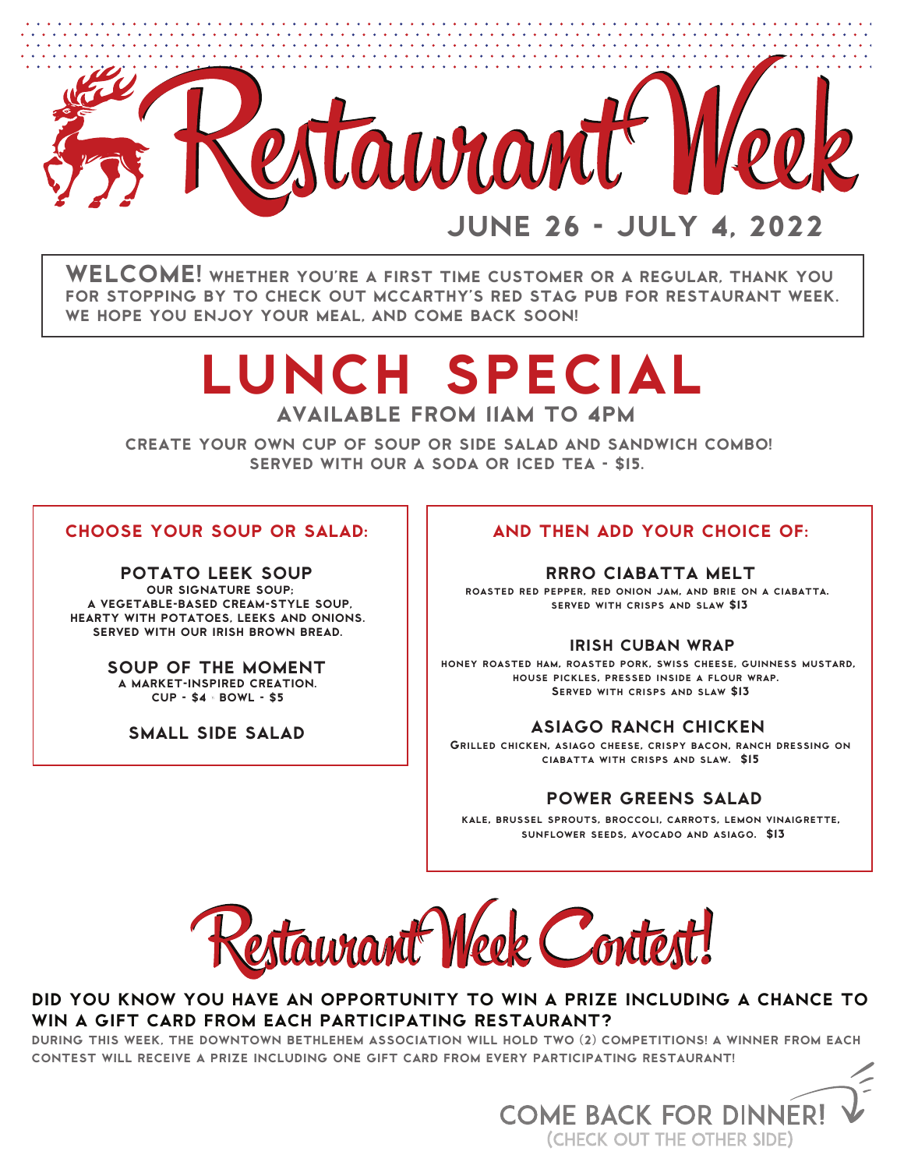

WELCOME! WHETHER YOU'RE A FIRST TIME CUSTOMER OR A REGULAR, THANK YOU FOR STOPPING BY TO CHECK OUT MCCARTHY'S RED STAG PUB FOR RESTAURANT WEEK. WE HOPE YOU ENJOY YOUR MEAL, AND COME BACK SOON!

# lunch special

AVAILABLE FROM 11AM TO 4PM

CREATE YOUR OWN CUP OF SOUP OR SIDE SALAD AND SANDWICH COMBO! SERVED WITH OUR A SODA OR ICED TEA - \$15.

# CHOOSE YOUR SOUP OR SALAD:

POTATO LEEK SOUP OUR SIGNATURE SOUP; A VEGETABLE-BASED CREAM-STYLE SOUP, HEARTY WITH POTATOES, LEEKS AND ONIONS. SERVED WITH OUR IRISH BROWN BREAD.

> SOUP OF THE MOMENT A MARKET-INSPIRED CREATION. CUP - \$4 | BOWL - \$5

SMALL SIDE SALAD

# AND THEN ADD YOUR CHOICE OF:

### RRRO CIABATTA MELT

roasted red pepper, red onion jam, and brie on a ciabatta. served with crisps and slaw \$13

### IRISH CUBAN WRAP

honey roasted ham, roasted pork, swiss cheese, guinness mustard, house pickles, pressed inside a flour wrap. Served with crisps and slaw \$13

# ASIAGO RANCH CHICKEN

Grilled chicken, asiago cheese, crispy bacon, ranch dressing on ciabatta with crisps and slaw. \$15

# POWER GREENS SALAD

kale, brussel sprouts, broccoli, carrots, lemon vinaigrette, sunflower seeds, avocado and asiago. \$13



# DID YOU KNOW YOU HAVE AN OPPORTUNITY TO WIN A PRIZE INCLUDING A CHANCE TO WIN A GIFT CARD FROM EACH PARTICIPATING RESTAURANT?

DURING THIS WEEK, THE DOWNTOWN BETHLEHEM ASSOCIATION WILL HOLD TWO (2) COMPETITIONS! A WINNER FROM EACH CONTEST WILL RECEIVE A PRIZE INCLUDING ONE GIFT CARD FROM EVERY PARTICIPATING RESTAURANT!